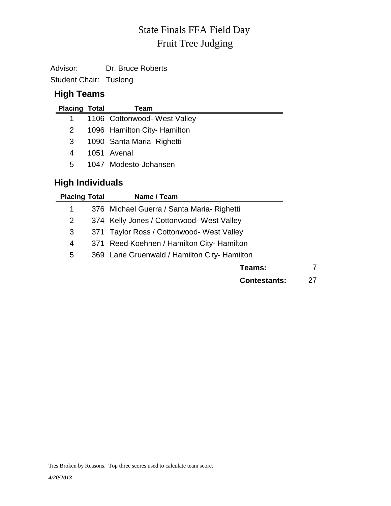# Fruit Tree Judging State Finals FFA Field Day

Advisor: Dr. Bruce Roberts

Student Chair: Tuslong

#### **High Teams**

| <b>Placing Total</b> | Team                         |
|----------------------|------------------------------|
|                      | 1106 Cottonwood- West Valley |
| 2                    | 1096 Hamilton City- Hamilton |
| 3                    | 1090 Santa Maria- Righetti   |
| 4                    | 1051 Avenal                  |
| 5                    | 1047 Modesto-Johansen        |

# **High Individuals**

| <b>Placing Total</b> | Name / Team                                  |    |
|----------------------|----------------------------------------------|----|
| 1                    | 376 Michael Guerra / Santa Maria- Righetti   |    |
| 2                    | 374 Kelly Jones / Cottonwood- West Valley    |    |
| 3                    | 371 Taylor Ross / Cottonwood- West Valley    |    |
| 4                    | 371 Reed Koehnen / Hamilton City- Hamilton   |    |
| 5                    | 369 Lane Gruenwald / Hamilton City- Hamilton |    |
|                      | Teams:                                       |    |
|                      | <b>Contestants:</b>                          | 27 |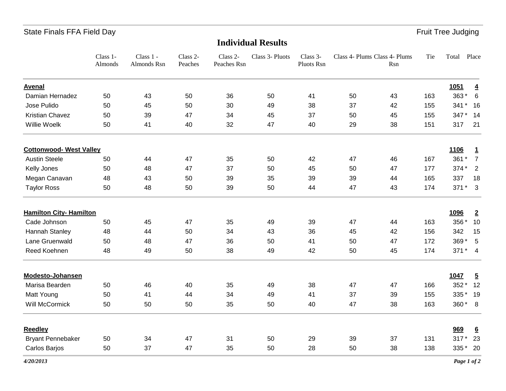### State Finals FFA Field Day **Fruit Tree Judging**

# **Individual Results**

|                                | Class 1-<br>Almonds | Class 1 -<br>Almonds Rsn | Class 2-<br>Peaches | Class 2-<br>Peaches Rsn | Class 3- Pluots | Class 3-<br>Pluots Rsn |    | Class 4- Plums Class 4- Plums<br>Rsn | Tie | Total    | Place                   |
|--------------------------------|---------------------|--------------------------|---------------------|-------------------------|-----------------|------------------------|----|--------------------------------------|-----|----------|-------------------------|
| <b>Avenal</b>                  |                     |                          |                     |                         |                 |                        |    |                                      |     | 1051     | $\overline{\mathbf{4}}$ |
| Damian Hernadez                | 50                  | 43                       | 50                  | 36                      | 50              | 41                     | 50 | 43                                   | 163 | 363*     | 6                       |
| Jose Pulido                    | 50                  | 45                       | 50                  | 30                      | 49              | 38                     | 37 | 42                                   | 155 | 341 * 16 |                         |
| Kristian Chavez                | 50                  | 39                       | 47                  | 34                      | 45              | 37                     | 50 | 45                                   | 155 | 347*     | 14                      |
| Willie Woelk                   | 50                  | 41                       | 40                  | 32                      | 47              | 40                     | 29 | 38                                   | 151 | 317      | 21                      |
| <b>Cottonwood- West Valley</b> |                     |                          |                     |                         |                 |                        |    |                                      |     | 1106     | $\mathbf{1}$            |
| <b>Austin Steele</b>           | 50                  | 44                       | 47                  | 35                      | 50              | 42                     | 47 | 46                                   | 167 | $361*$   | $\overline{7}$          |
| Kelly Jones                    | 50                  | 48                       | 47                  | 37                      | 50              | 45                     | 50 | 47                                   | 177 | 374 *    | $\overline{2}$          |
| Megan Canavan                  | 48                  | 43                       | 50                  | 39                      | 35              | 39                     | 39 | 44                                   | 165 | 337      | 18                      |
| <b>Taylor Ross</b>             | 50                  | 48                       | 50                  | 39                      | 50              | 44                     | 47 | 43                                   | 174 | $371*3$  |                         |
| <b>Hamilton City- Hamilton</b> |                     |                          |                     |                         |                 |                        |    |                                      |     | 1096     | $\overline{2}$          |
| Cade Johnson                   | 50                  | 45                       | 47                  | 35                      | 49              | 39                     | 47 | 44                                   | 163 | 356 *    | 10                      |
| Hannah Stanley                 | 48                  | 44                       | 50                  | 34                      | 43              | 36                     | 45 | 42                                   | 156 | 342      | 15                      |
| Lane Gruenwald                 | 50                  | 48                       | 47                  | 36                      | 50              | 41                     | 50 | 47                                   | 172 | 369 *    | 5                       |
| Reed Koehnen                   | 48                  | 49                       | 50                  | 38                      | 49              | 42                     | 50 | 45                                   | 174 | $371* 4$ |                         |
| <b>Modesto-Johansen</b>        |                     |                          |                     |                         |                 |                        |    |                                      |     | 1047     | $\overline{5}$          |
| Marisa Bearden                 | 50                  | 46                       | 40                  | 35                      | 49              | 38                     | 47 | 47                                   | 166 | 352 *    | 12                      |
| Matt Young                     | 50                  | 41                       | 44                  | 34                      | 49              | 41                     | 37 | 39                                   | 155 | 335* 19  |                         |
| <b>Will McCormick</b>          | 50                  | 50                       | 50                  | 35                      | 50              | 40                     | 47 | 38                                   | 163 | 360* 8   |                         |
| <b>Reedley</b>                 |                     |                          |                     |                         |                 |                        |    |                                      |     | 969      | $6\overline{6}$         |
| <b>Bryant Pennebaker</b>       | 50                  | 34                       | 47                  | 31                      | 50              | 29                     | 39 | 37                                   | 131 | $317*$   | 23                      |
| Carlos Barjos                  | 50                  | 37                       | 47                  | 35                      | 50              | 28                     | 50 | 38                                   | 138 | 335 * 20 |                         |
|                                |                     |                          |                     |                         |                 |                        |    |                                      |     |          |                         |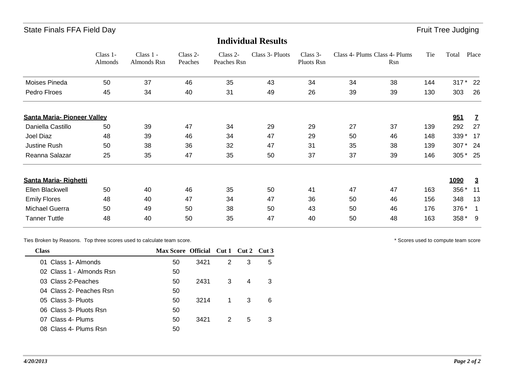#### State Finals FFA Field Day **Fruit Tree Judging**

|                                    | Class 1-<br>Almonds | Class 1 -<br>Almonds Rsn | Class 2-<br>Peaches | Class 2-<br>Peaches Rsn | Class 3- Pluots | Class 3-<br>Pluots Rsn | Class 4- Plums Class 4- Plums | Rsn | Tie | Total  | Place          |
|------------------------------------|---------------------|--------------------------|---------------------|-------------------------|-----------------|------------------------|-------------------------------|-----|-----|--------|----------------|
| Moises Pineda                      | 50                  | 37                       | 46                  | 35                      | 43              | 34                     | 34                            | 38  | 144 | 317    | 22             |
| Pedro Firoes                       | 45                  | 34                       | 40                  | 31                      | 49              | 26                     | 39                            | 39  | 130 | 303    | 26             |
| <b>Santa Maria- Pioneer Valley</b> |                     |                          |                     |                         |                 |                        |                               |     |     | 951    | $\mathbf{Z}$   |
| Daniella Castillo                  | 50                  | 39                       | 47                  | 34                      | 29              | 29                     | 27                            | 37  | 139 | 292    | 27             |
| Joel Diaz                          | 48                  | 39                       | 46                  | 34                      | 47              | 29                     | 50                            | 46  | 148 | 339 *  | -17            |
| Justine Rush                       | 50                  | 38                       | 36                  | 32                      | 47              | 31                     | 35                            | 38  | 139 | 307*   | - 24           |
| Reanna Salazar                     | 25                  | 35                       | 47                  | 35                      | 50              | 37                     | 37                            | 39  | 146 | $305*$ | - 25           |
| <b>Santa Maria- Righetti</b>       |                     |                          |                     |                         |                 |                        |                               |     |     | 1090   | $\overline{3}$ |
| Ellen Blackwell                    | 50                  | 40                       | 46                  | 35                      | 50              | 41                     | 47                            | 47  | 163 | 356 *  | 11             |
| <b>Emily Flores</b>                | 48                  | 40                       | 47                  | 34                      | 47              | 36                     | 50                            | 46  | 156 | 348    | 13             |
| <b>Michael Guerra</b>              | 50                  | 49                       | 50                  | 38                      | 50              | 43                     | 50                            | 46  | 176 | 376 *  |                |
| <b>Tanner Tuttle</b>               | 48                  | 40                       | 50                  | 35                      | 47              | 40                     | 50                            | 48  | 163 | 358 *  | - 9            |

**Individual Results**

Ties Broken by Reasons. Top three scores used to calculate team score.  $\blacksquare$ 

| 2 | 3 | 5                             |
|---|---|-------------------------------|
|   |   |                               |
| 3 | 4 | 3                             |
|   |   |                               |
|   | 3 | 6                             |
|   |   |                               |
|   | 5 | 3                             |
|   |   |                               |
|   |   | $\overline{1}$<br>$2^{\circ}$ |